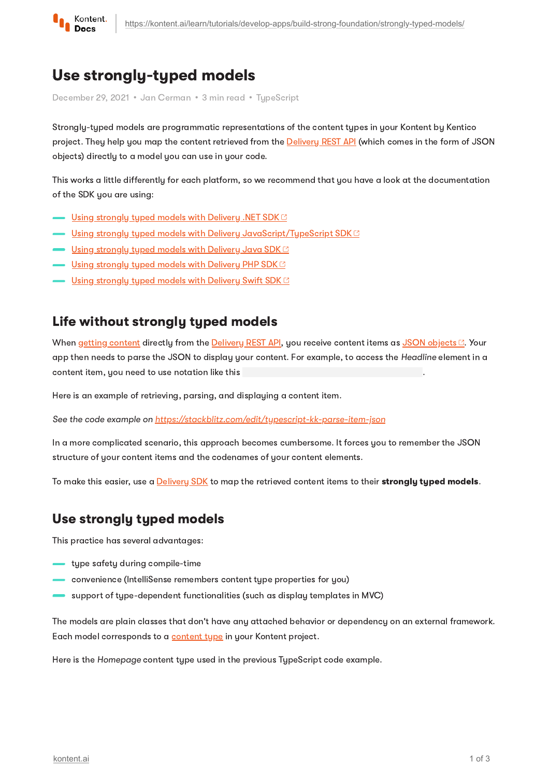

# Use strongly-typed models

December 29, 2021 • Jan Cerman • 3 min read • TupeScript

Strongly-typed models are programmatic representations of the content types in your Kontent by Kentico project. They help you map the content retrieved from the **[Delivery](https://kontent.ai/learn/reference/delivery-api/) REST API** (which comes in the form of JSON objects) directly to a model you can use in your code.

This works a little differently for each platform, so we recommend that you have a look at the documentation of the SDK you are using:

- Using [strongly](https://github.com/Kentico/kontent-delivery-sdk-net/wiki/Working-with-strongly-typed-models) typed models with Delivery .NET SDK ■
- <u>Using strongly typed models with Delivery [JavaScript/TypeScript](https://github.com/Kentico/kontent-delivery-sdk-js/#create-typed-models) SDK <sup>e</sup></u>
- <u>Using [strongly](https://github.com/Kentico/kontent-java-packages/wiki/Working-with-strongly-typed-models-%28aka-Code-First-approach%29) typed models with Delivery Java SDK <sup>c</sup></u>
- $\blacksquare$  Using [strongly](https://github.com/Kentico/kontent-delivery-sdk-php#properties-and-their-types) typed models with Delivery PHP SDK $\boxtimes$
- Using strong<u>ly typed models with Delivery Swift SDK</u>

#### Life without strongly typed models

When getting [content](https://kontent.ai/learn/tutorials/develop-apps/get-content/get-content-items/) directly from the [Delivery](https://kontent.ai/learn/reference/delivery-api/) REST API, you receive content items as JSON [objects](https://deliver.kontent.ai/8d20758c-d74c-4f59-ae04-ee928c0816b7/items/hello_caas_world) . Your app then needs to parse the JSON to display your content. For example, to access the Headline element in a content item, you need to use notation like this

Here is an example of retrieving, parsing, and displaying a content item.

See the code example on <https://stackblitz.com/edit/typescript-kk-parse-item-json>

In a more complicated scenario, this approach becomes cumbersome. It forces you to remember the JSON structure of your content items and the codenames of your content elements.

To make this easier, use a **[Delivery](https://kontent.ai/learn/tutorials/develop-apps/overview/?tech=javascript) SDK** to map the retrieved content items to their **strongly typed models.** 

### Use strongly typed models

This practice has several advantages:

- type safety during compile-time
- convenience (IntelliSense remembers content type properties for you)
- support of type-dependent functionalities (such as display templates in MVC)

The models are plain classes that don't have any attached behavior or dependency on an external framework. Each model corresponds to a [content](https://kontent.ai/learn/tutorials/manage-kontent/content-modeling/create-and-delete-content-types/) type in your Kontent project.

Here is the Homepage content type used in the previous TypeScript code example.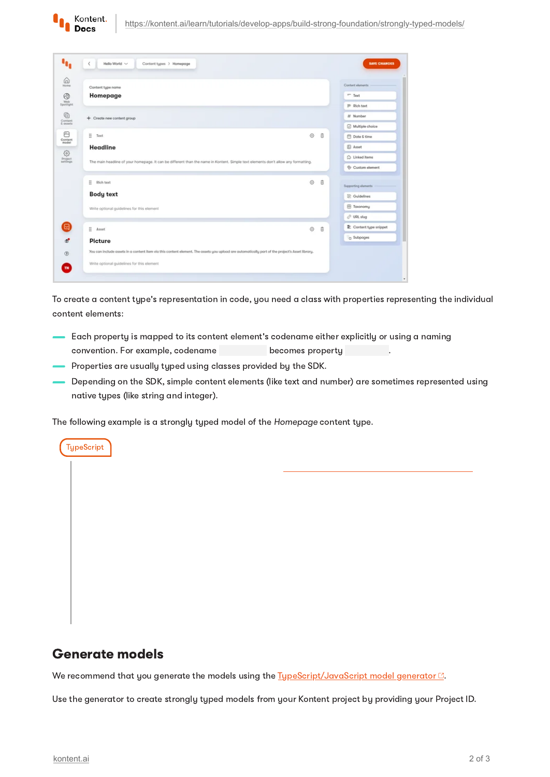| Content type name                                                                                                                               |                      | Content elements     |
|-------------------------------------------------------------------------------------------------------------------------------------------------|----------------------|----------------------|
| Homepage                                                                                                                                        |                      | $=$ Text             |
|                                                                                                                                                 |                      | P Rich text          |
| + Create new content group                                                                                                                      |                      | # Number             |
|                                                                                                                                                 |                      | Multiple choice      |
| ÷<br>Text                                                                                                                                       | Ò<br>Θ               | <b>□</b> Date & time |
| Headline<br>The main headline of your homepage. It can be different than the name in Kontent. Simple text elements don't allow any formatting.  |                      | <b>B</b> Asset       |
|                                                                                                                                                 |                      | C Linked items       |
|                                                                                                                                                 |                      | Custom element       |
| ÷<br>Rich text                                                                                                                                  | Ò<br>$\ddot{\theta}$ | Supporting alaments  |
| <b>Body text</b><br>Write optional guidelines for this element                                                                                  |                      | <b>E</b> Guidelines  |
|                                                                                                                                                 |                      | El Taxonomy          |
|                                                                                                                                                 |                      | C URL slug           |
| ÷<br>Asset                                                                                                                                      | ⊙<br>θ               | Content type snippet |
| Picture                                                                                                                                         |                      | C Subpages           |
| You can include assets in a content item via this content element. The assets you upload are automatically part of the project's Asset library. |                      |                      |

To create a content type's representation in code, you need a class with properties representing the individual content elements:

- Each property is mapped to its content element's codename either explicitly or using a naming convention. For example, codename becomes property becomes property
- Properties are usually typed using classes provided by the SDK.
- Depending on the SDK, simple content elements (like text and number) are sometimes represented using native types (like string and integer).

The following example is a strongly typed model of the Homepage content type.

### Generate models

**TypeScript** 

Kontent. Docs

We recommend that you generate the models using the  $T_1$ ypeScript/JavaScript model generator  $\mathbb{C}$ .

Use the generator to create strongly typed models from your Kontent project by providing your Project ID.